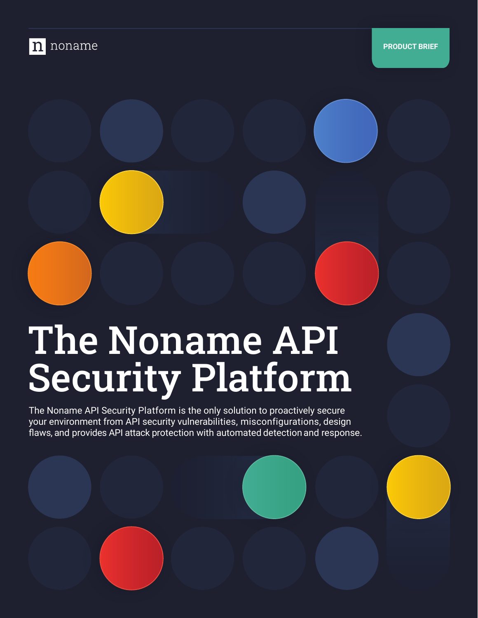

# The Noname API Security Platform

The Noname API Security Platform is the only solution to proactively secure your environment from API security vulnerabilities, misconfigurations, design flaws, and provides API attack protection with automated detection and response.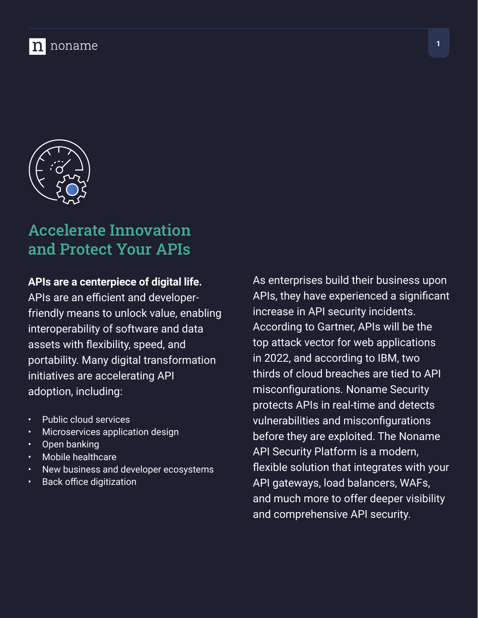



### Accelerate Innovation and Protect Your APIs

#### **APIs are a centerpiece of digital life.**

APIs are an efficient and developerfriendly means to unlock value, enabling interoperability of software and data assets with flexibility, speed, and portability. Many digital transformation initiatives are accelerating API adoption, including:

- Public cloud services
- Microservices application design
- Open banking
- Mobile healthcare
- New business and developer ecosystems
- Back office digitization

As enterprises build their business upon APIs, they have experienced a significant increase in API security incidents. According to Gartner, APIs will be the top attack vector for web applications in 2022, and according to IBM, two thirds of cloud breaches are tied to API misconfigurations. Noname Security protects APIs in real-time and detects vulnerabilities and misconfigurations before they are exploited. The Noname API Security Platform is a modern, flexible solution that integrates with your API gateways, load balancers, WAFs, and much more to offer deeper visibility and comprehensive API security.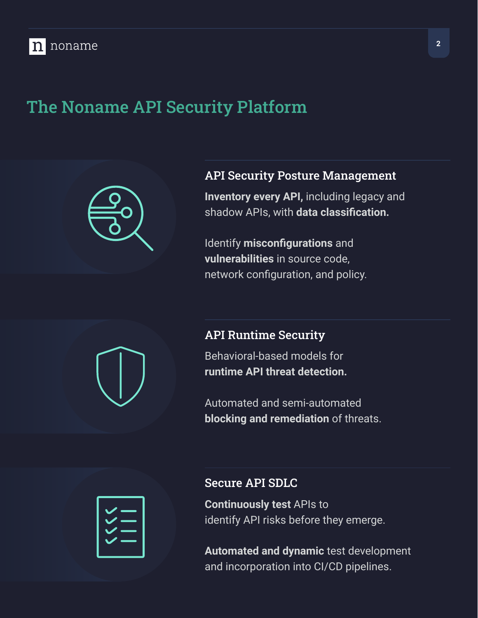### The Noname API Security Platform



#### API Security Posture Management

**Inventory every API,** including legacy and shadow APIs, with **data classification.**

Identify **misconfigurations** and **vulnerabilities** in source code, network configuration, and policy.

#### API Runtime Security

Behavioral-based models for **runtime API threat detection.**

Automated and semi-automated **blocking and remediation** of threats.

#### Secure API SDLC

**Continuously test** APIs to identify API risks before they emerge.

**Automated and dynamic** test development and incorporation into CI/CD pipelines.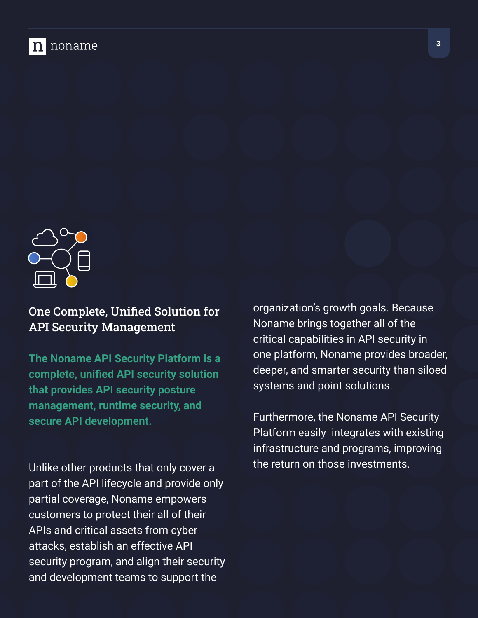



One Complete, Unified Solution for API Security Management

**The Noname API Security Platform is a complete, unified API security solution that provides API security posture management, runtime security, and secure API development.** 

Unlike other products that only cover a part of the API lifecycle and provide only partial coverage, Noname empowers customers to protect their all of their APIs and critical assets from cyber attacks, establish an effective API security program, and align their security and development teams to support the

organization's growth goals. Because Noname brings together all of the critical capabilities in API security in one platform, Noname provides broader, deeper, and smarter security than siloed systems and point solutions.

Furthermore, the Noname API Security Platform easily integrates with existing infrastructure and programs, improving the return on those investments.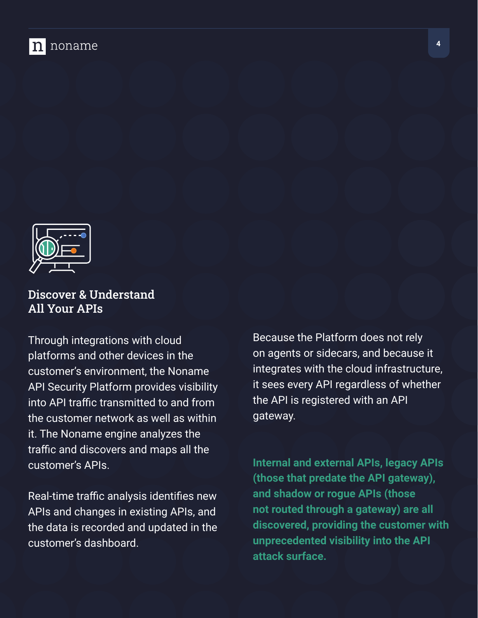



#### Discover & Understand All Your APIs

Through integrations with cloud platforms and other devices in the customer's environment, the Noname API Security Platform provides visibility into API traffic transmitted to and from the customer network as well as within it. The Noname engine analyzes the traffic and discovers and maps all the customer's APIs.

Real-time traffic analysis identifies new APIs and changes in existing APIs, and the data is recorded and updated in the customer's dashboard.

Because the Platform does not rely on agents or sidecars, and because it integrates with the cloud infrastructure, it sees every API regardless of whether the API is registered with an API gateway.

**Internal and external APIs, legacy APIs (those that predate the API gateway), and shadow or rogue APIs (those not routed through a gateway) are all discovered, providing the customer with unprecedented visibility into the API attack surface.**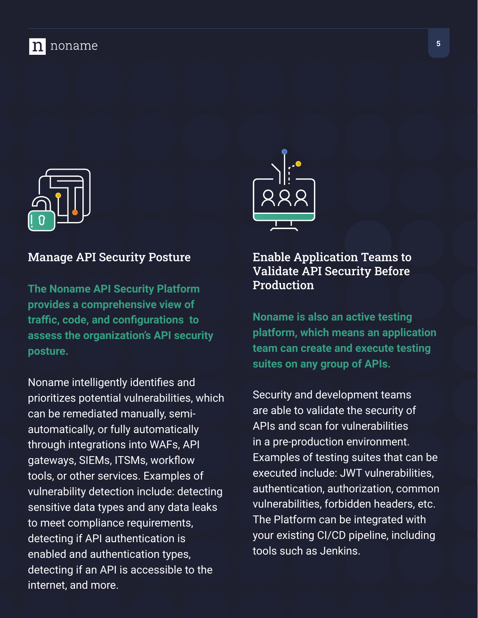### noname



#### Manage API Security Posture

**The Noname API Security Platform provides a comprehensive view of traffic, code, and configurations to assess the organization's API security posture.** 

Noname intelligently identifies and prioritizes potential vulnerabilities, which can be remediated manually, semiautomatically, or fully automatically through integrations into WAFs, API gateways, SIEMs, ITSMs, workflow tools, or other services. Examples of vulnerability detection include: detecting sensitive data types and any data leaks to meet compliance requirements, detecting if API authentication is enabled and authentication types, detecting if an API is accessible to the internet, and more.



#### Enable Application Teams to Validate API Security Before Production

**Noname is also an active testing platform, which means an application team can create and execute testing suites on any group of APIs.**

Security and development teams are able to validate the security of APIs and scan for vulnerabilities in a pre-production environment. Examples of testing suites that can be executed include: JWT vulnerabilities, authentication, authorization, common vulnerabilities, forbidden headers, etc. The Platform can be integrated with your existing CI/CD pipeline, including tools such as Jenkins.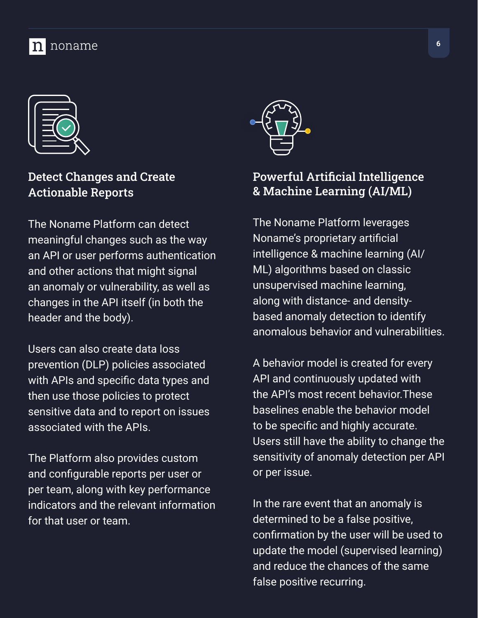



Detect Changes and Create Actionable Reports

The Noname Platform can detect meaningful changes such as the way an API or user performs authentication and other actions that might signal an anomaly or vulnerability, as well as changes in the API itself (in both the header and the body).

Users can also create data loss prevention (DLP) policies associated with APIs and specific data types and then use those policies to protect sensitive data and to report on issues associated with the APIs.

The Platform also provides custom and configurable reports per user or per team, along with key performance indicators and the relevant information for that user or team.



#### Powerful Artificial Intelligence & Machine Learning (AI/ML)

The Noname Platform leverages Noname's proprietary artificial intelligence & machine learning (AI/ ML) algorithms based on classic unsupervised machine learning, along with distance- and densitybased anomaly detection to identify anomalous behavior and vulnerabilities.

A behavior model is created for every API and continuously updated with the API's most recent behavior.These baselines enable the behavior model to be specific and highly accurate. Users still have the ability to change the sensitivity of anomaly detection per API or per issue.

In the rare event that an anomaly is determined to be a false positive, confirmation by the user will be used to update the model (supervised learning) and reduce the chances of the same false positive recurring.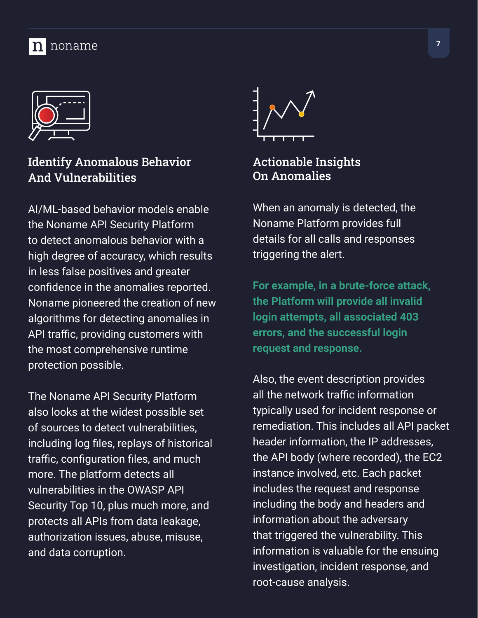

#### Identify Anomalous Behavior And Vulnerabilities

AI/ML-based behavior models enable the Noname API Security Platform to detect anomalous behavior with a high degree of accuracy, which results in less false positives and greater confidence in the anomalies reported. Noname pioneered the creation of new algorithms for detecting anomalies in API traffic, providing customers with the most comprehensive runtime protection possible.

The Noname API Security Platform also looks at the widest possible set of sources to detect vulnerabilities, including log files, replays of historical traffic, configuration files, and much more. The platform detects all vulnerabilities in the OWASP API Security Top 10, plus much more, and protects all APIs from data leakage, authorization issues, abuse, misuse, and data corruption.



#### Actionable Insights On Anomalies

When an anomaly is detected, the Noname Platform provides full details for all calls and responses triggering the alert.

**For example, in a brute-force attack, the Platform will provide all invalid login attempts, all associated 403 errors, and the successful login request and response.**

Also, the event description provides all the network traffic information typically used for incident response or remediation. This includes all API packet header information, the IP addresses, the API body (where recorded), the EC2 instance involved, etc. Each packet includes the request and response including the body and headers and information about the adversary that triggered the vulnerability. This information is valuable for the ensuing investigation, incident response, and root-cause analysis.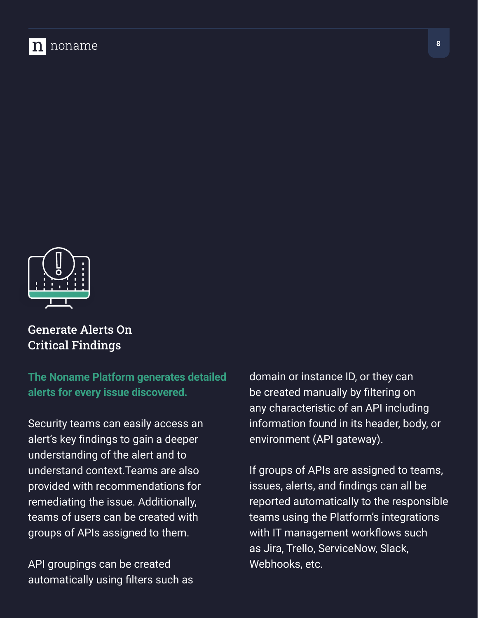



#### Generate Alerts On Critical Findings

**The Noname Platform generates detailed alerts for every issue discovered.** 

Security teams can easily access an alert's key findings to gain a deeper understanding of the alert and to understand context.Teams are also provided with recommendations for remediating the issue. Additionally, teams of users can be created with groups of APIs assigned to them.

API groupings can be created automatically using filters such as domain or instance ID, or they can be created manually by filtering on any characteristic of an API including information found in its header, body, or environment (API gateway).

If groups of APIs are assigned to teams, issues, alerts, and findings can all be reported automatically to the responsible teams using the Platform's integrations with IT management workflows such as Jira, Trello, ServiceNow, Slack, Webhooks, etc.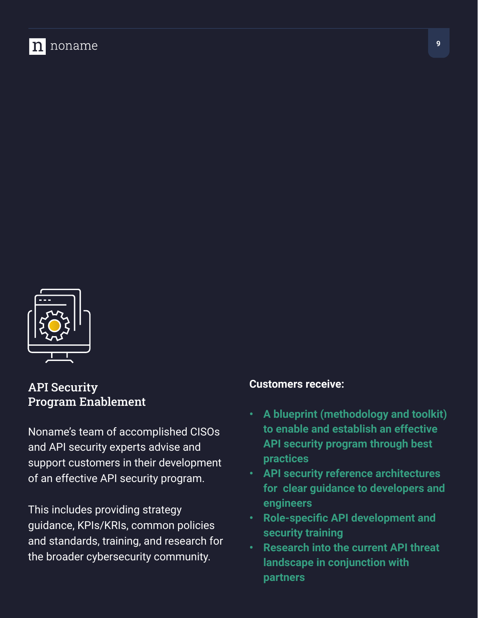



API Security Program Enablement

Noname's team of accomplished CISOs and API security experts advise and support customers in their development of an effective API security program.

This includes providing strategy guidance, KPIs/KRIs, common policies and standards, training, and research for the broader cybersecurity community.

#### **Customers receive:**

- **• A blueprint (methodology and toolkit) to enable and establish an effective API security program through best practices**
- **• API security reference architectures for clear guidance to developers and engineers**
- **• Role-specific API development and security training**
- **• Research into the current API threat landscape in conjunction with partners**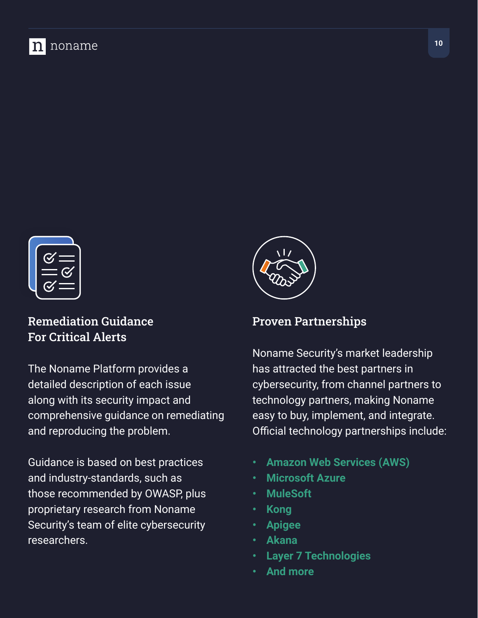

#### Remediation Guidance For Critical Alerts

The Noname Platform provides a detailed description of each issue along with its security impact and comprehensive guidance on remediating and reproducing the problem.

Guidance is based on best practices and industry-standards, such as those recommended by OWASP, plus proprietary research from Noname Security's team of elite cybersecurity researchers.



#### Proven Partnerships

Noname Security's market leadership has attracted the best partners in cybersecurity, from channel partners to technology partners, making Noname easy to buy, implement, and integrate. Official technology partnerships include:

- **• Amazon Web Services (AWS)**
- **• Microsoft Azure**
- **• MuleSoft**
- **• Kong**
- **• Apigee**
- **• Akana**
- **• Layer 7 Technologies**
- **• And more**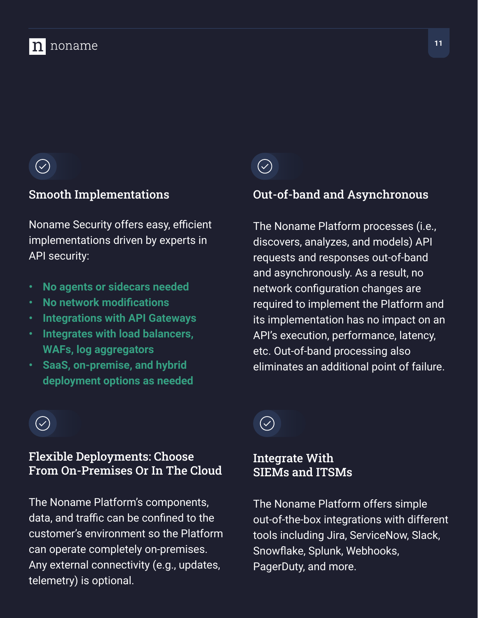# $\left(\hspace{-1.5pt}\sqrt{2}\right)$

#### Smooth Implementations

Noname Security offers easy, efficient implementations driven by experts in API security:

- **• No agents or sidecars needed**
- **• No network modifications**
- **• Integrations with API Gateways**
- **• Integrates with load balancers, WAFs, log aggregators**
- **• SaaS, on-premise, and hybrid deployment options as needed**

## $\bigcirc$

#### Out-of-band and Asynchronous

The Noname Platform processes (i.e., discovers, analyzes, and models) API requests and responses out-of-band and asynchronously. As a result, no network configuration changes are required to implement the Platform and its implementation has no impact on an API's execution, performance, latency, etc. Out-of-band processing also eliminates an additional point of failure.

# $\left(\hspace{-1.5pt}\sqrt{2}\right)$

#### Flexible Deployments: Choose From On-Premises Or In The Cloud

The Noname Platform's components, data, and traffic can be confined to the customer's environment so the Platform can operate completely on-premises. Any external connectivity (e.g., updates, telemetry) is optional.

# $(\checkmark)$

#### Integrate With SIEMs and ITSMs

The Noname Platform offers simple out-of-the-box integrations with different tools including Jira, ServiceNow, Slack, Snowflake, Splunk, Webhooks, PagerDuty, and more.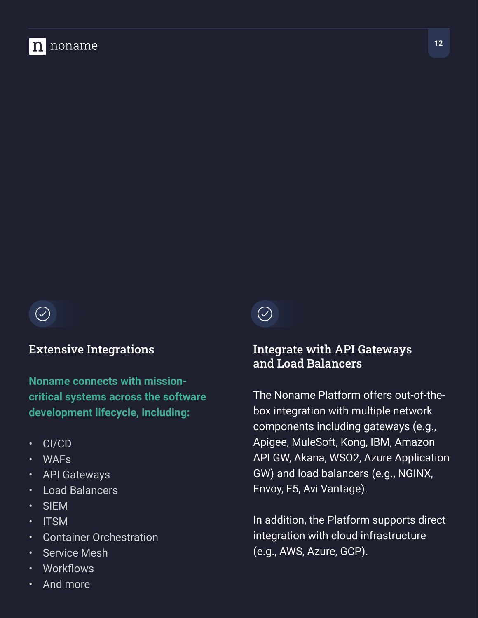

#### Extensive Integrations

**Noname connects with missioncritical systems across the software development lifecycle, including:**

- CI/CD
- WAFs
- API Gateways
- Load Balancers
- SIEM
- ITSM
- Container Orchestration
- **Service Mesh**
- Workflows
- And more

 $(\heartsuit)$ 

#### Integrate with API Gateways and Load Balancers

The Noname Platform offers out-of-thebox integration with multiple network components including gateways (e.g., Apigee, MuleSoft, Kong, IBM, Amazon API GW, Akana, WSO2, Azure Application GW) and load balancers (e.g., NGINX, Envoy, F5, Avi Vantage).

In addition, the Platform supports direct integration with cloud infrastructure (e.g., AWS, Azure, GCP).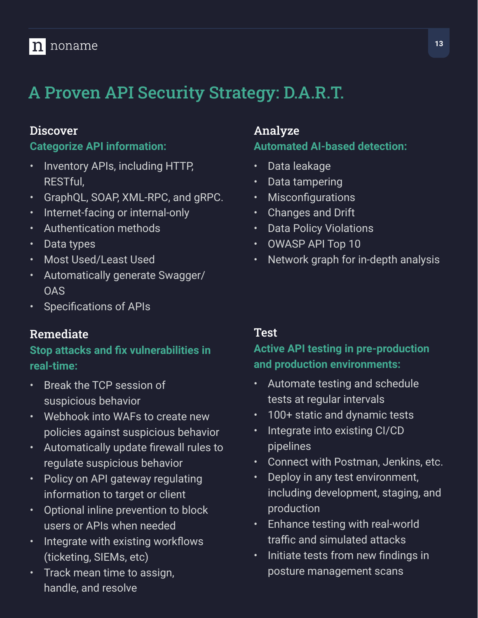### n noname

# A Proven API Security Strategy: D.A.R.T.

#### **Discover**

#### **Categorize API information:**

- Inventory APIs, including HTTP, RESTful,
- GraphQL, SOAP, XML-RPC, and gRPC.
- Internet-facing or internal-only
- Authentication methods
- Data types
- Most Used/Least Used
- Automatically generate Swagger/ OAS
- Specifications of APIs

#### Remediate

#### **Stop attacks and fix vulnerabilities in real-time:**

- Break the TCP session of suspicious behavior
- Webhook into WAFs to create new policies against suspicious behavior
- Automatically update firewall rules to regulate suspicious behavior
- Policy on API gateway regulating information to target or client
- Optional inline prevention to block users or APIs when needed
- Integrate with existing workflows (ticketing, SIEMs, etc)
- Track mean time to assign, handle, and resolve

#### Analyze

#### **Automated AI-based detection:**

- Data leakage
- Data tampering
- **Misconfigurations**
- Changes and Drift
- **Data Policy Violations**
- OWASP API Top 10
- Network graph for in-depth analysis

#### Test

#### **Active API testing in pre-production and production environments:**

- Automate testing and schedule tests at regular intervals
- 100+ static and dynamic tests
- Integrate into existing CI/CD pipelines
- Connect with Postman, Jenkins, etc.
- Deploy in any test environment, including development, staging, and production
- Enhance testing with real-world traffic and simulated attacks
- Initiate tests from new findings in posture management scans